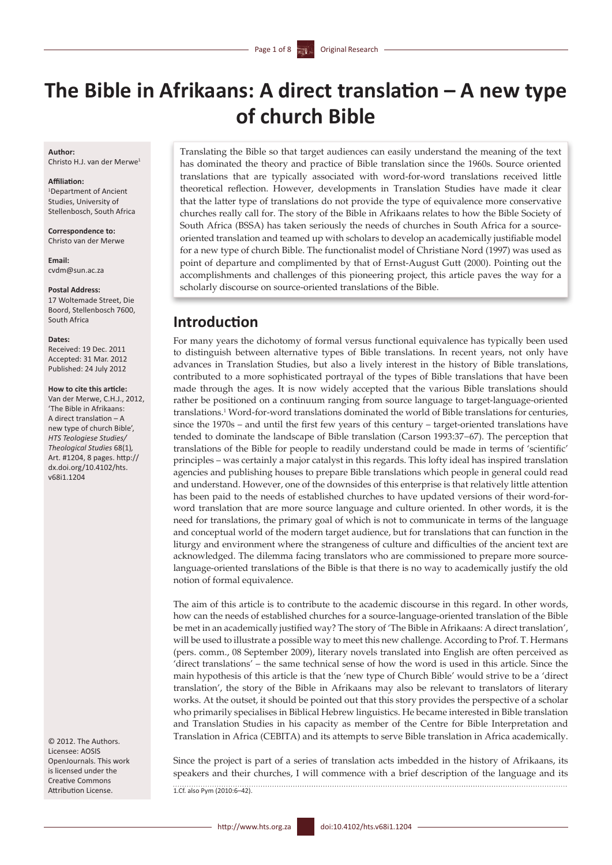# **The Bible in Afrikaans: A direct translation – A new type of church Bible**

**Author:** Christo H.J. van der Merwe<sup>1</sup>

#### **Affiliation:**

1 Department of Ancient Studies, University of Stellenbosch, South Africa

**Correspondence to:** Christo van der Merwe

**Email:** [cvdm@sun.ac.za](mailto:CVDM@sun.ac.za)

#### **Postal Address:**

17 Woltemade Street, Die Boord, Stellenbosch 7600, South Africa

### **Dates:**

Received: 19 Dec. 2011 Accepted: 31 Mar. 2012 Published: 24 July 2012

#### **How to cite this article:**

Van der Merwe, C.H.J., 2012, 'The Bible in Afrikaans: A direct translation – A new type of church Bible', *HTS Teologiese Studies/ Theological Studies* 68(1)*,*  Art. #1204, 8 pages. [http://](http://dx.doi.org/10.4102/hts.v68i1.1204) [dx.doi.org/10.4102/hts.](http://dx.doi.org/10.4102/hts.v68i1.1204) [v68i1.1204](http://dx.doi.org/10.4102/hts.v68i1.1204)

© 2012. The Authors. Licensee: AOSIS OpenJournals. This work is licensed under the Creative Commons Attribution License.

Translating the Bible so that target audiences can easily understand the meaning of the text has dominated the theory and practice of Bible translation since the 1960s. Source oriented translations that are typically associated with word-for-word translations received little theoretical reflection. However, developments in Translation Studies have made it clear that the latter type of translations do not provide the type of equivalence more conservative churches really call for. The story of the Bible in Afrikaans relates to how the Bible Society of South Africa (BSSA) has taken seriously the needs of churches in South Africa for a sourceoriented translation and teamed up with scholars to develop an academically justifiable model for a new type of church Bible. The functionalist model of Christiane Nord (1997) was used as point of departure and complimented by that of Ernst-August Gutt (2000). Pointing out the accomplishments and challenges of this pioneering project, this article paves the way for a scholarly discourse on source-oriented translations of the Bible.

## **Introduction**

For many years the dichotomy of formal versus functional equivalence has typically been used to distinguish between alternative types of Bible translations. In recent years, not only have advances in Translation Studies, but also a lively interest in the history of Bible translations, contributed to a more sophisticated portrayal of the types of Bible translations that have been made through the ages. It is now widely accepted that the various Bible translations should rather be positioned on a continuum ranging from source language to target-language-oriented translations.1 Word-for-word translations dominated the world of Bible translations for centuries, since the 1970s – and until the first few years of this century – target-oriented translations have tended to dominate the landscape of Bible translation (Carson 1993:37−67). The perception that translations of the Bible for people to readily understand could be made in terms of 'scientific' principles – was certainly a major catalyst in this regards. This lofty ideal has inspired translation agencies and publishing houses to prepare Bible translations which people in general could read and understand. However, one of the downsides of this enterprise is that relatively little attention has been paid to the needs of established churches to have updated versions of their word-forword translation that are more source language and culture oriented. In other words, it is the need for translations, the primary goal of which is not to communicate in terms of the language and conceptual world of the modern target audience, but for translations that can function in the liturgy and environment where the strangeness of culture and difficulties of the ancient text are acknowledged. The dilemma facing translators who are commissioned to prepare more sourcelanguage-oriented translations of the Bible is that there is no way to academically justify the old notion of formal equivalence.

The aim of this article is to contribute to the academic discourse in this regard. In other words, how can the needs of established churches for a source-language-oriented translation of the Bible be met in an academically justified way? The story of 'The Bible in Afrikaans: A direct translation', will be used to illustrate a possible way to meet this new challenge. According to Prof. T. Hermans (pers. comm., 08 September 2009), literary novels translated into English are often perceived as 'direct translations' – the same technical sense of how the word is used in this article. Since the main hypothesis of this article is that the 'new type of Church Bible' would strive to be a 'direct translation', the story of the Bible in Afrikaans may also be relevant to translators of literary works. At the outset, it should be pointed out that this story provides the perspective of a scholar who primarily specialises in Biblical Hebrew linguistics. He became interested in Bible translation and Translation Studies in his capacity as member of the Centre for Bible Interpretation and Translation in Africa (CEBITA) and its attempts to serve Bible translation in Africa academically.

Since the project is part of a series of translation acts imbedded in the history of Afrikaans, its speakers and their churches, I will commence with a brief description of the language and its 

1.Cf. also Pym (2010:6–42).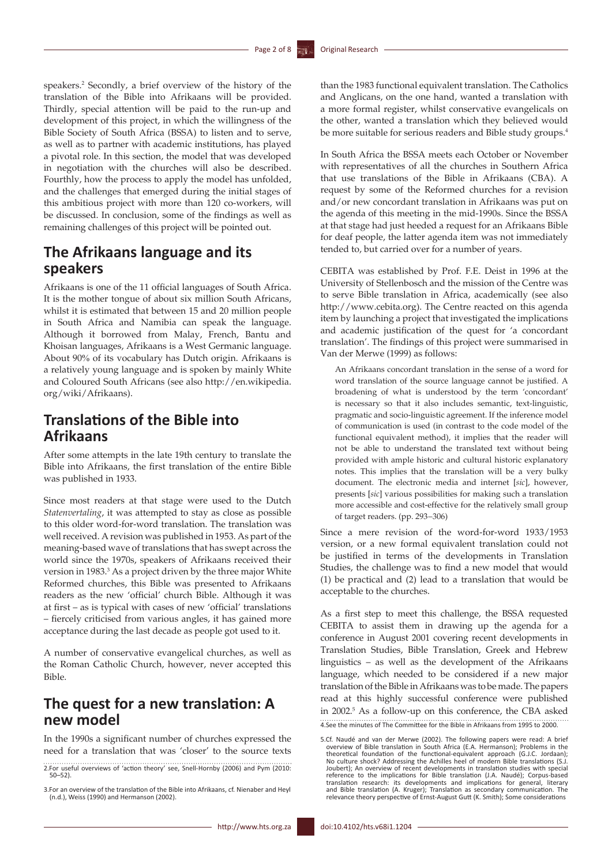speakers.<sup>2</sup> Secondly, a brief overview of the history of the translation of the Bible into Afrikaans will be provided. Thirdly, special attention will be paid to the run-up and development of this project, in which the willingness of the Bible Society of South Africa (BSSA) to listen and to serve, as well as to partner with academic institutions, has played a pivotal role. In this section, the model that was developed in negotiation with the churches will also be described. Fourthly, how the process to apply the model has unfolded, and the challenges that emerged during the initial stages of this ambitious project with more than 120 co-workers, will be discussed. In conclusion, some of the findings as well as remaining challenges of this project will be pointed out.

# **The Afrikaans language and its speakers**

Afrikaans is one of the 11 official languages of South Africa. It is the mother tongue of about six million South Africans, whilst it is estimated that between 15 and 20 million people in South Africa and Namibia can speak the language. Although it borrowed from Malay, French, Bantu and Khoisan languages, Afrikaans is a West Germanic language. About 90% of its vocabulary has Dutch origin. Afrikaans is a relatively young language and is spoken by mainly White and Coloured South Africans (see also [http://en.wikipedia.](http://en.wikipedia.org/wiki/Afrikaans) [org/wiki/Afrikaans\)](http://en.wikipedia.org/wiki/Afrikaans).

# **Translations of the Bible into Afrikaans**

After some attempts in the late 19th century to translate the Bible into Afrikaans, the first translation of the entire Bible was published in 1933.

Since most readers at that stage were used to the Dutch *Statenvertaling*, it was attempted to stay as close as possible to this older word-for-word translation. The translation was well received. A revision was published in 1953. As part of the meaning-based wave of translations that has swept across the world since the 1970s, speakers of Afrikaans received their version in 1983.<sup>3</sup> As a project driven by the three major White Reformed churches, this Bible was presented to Afrikaans readers as the new 'official' church Bible. Although it was at first – as is typical with cases of new 'official' translations – fiercely criticised from various angles, it has gained more acceptance during the last decade as people got used to it.

A number of conservative evangelical churches, as well as the Roman Catholic Church, however, never accepted this Bible.

# **The quest for a new translation: A new model**

In the 1990s a significant number of churches expressed the need for a translation that was 'closer' to the source texts than the 1983 functional equivalent translation. The Catholics and Anglicans, on the one hand, wanted a translation with a more formal register, whilst conservative evangelicals on the other, wanted a translation which they believed would be more suitable for serious readers and Bible study groups.4

In South Africa the BSSA meets each October or November with representatives of all the churches in Southern Africa that use translations of the Bible in Afrikaans (CBA). A request by some of the Reformed churches for a revision and/or new concordant translation in Afrikaans was put on the agenda of this meeting in the mid-1990s. Since the BSSA at that stage had just heeded a request for an Afrikaans Bible for deaf people, the latter agenda item was not immediately tended to, but carried over for a number of years.

CEBITA was established by Prof. F.E. Deist in 1996 at the University of Stellenbosch and the mission of the Centre was to serve Bible translation in Africa, academically (see also <http://www.cebita.org>). The Centre reacted on this agenda item by launching a project that investigated the implications and academic justification of the quest for 'a concordant translation'. The findings of this project were summarised in Van der Merwe (1999) as follows:

An Afrikaans concordant translation in the sense of a word for word translation of the source language cannot be justified. A broadening of what is understood by the term 'concordant' is necessary so that it also includes semantic, text-linguistic, pragmatic and socio-linguistic agreement. If the inference model of communication is used (in contrast to the code model of the functional equivalent method), it implies that the reader will not be able to understand the translated text without being provided with ample historic and cultural historic explanatory notes. This implies that the translation will be a very bulky document. The electronic media and internet [*sic*], however, presents [*sic*] various possibilities for making such a translation more accessible and cost-effective for the relatively small group of target readers. (pp. 293−306)

Since a mere revision of the word-for-word 1933/1953 version, or a new formal equivalent translation could not be justified in terms of the developments in Translation Studies, the challenge was to find a new model that would (1) be practical and (2) lead to a translation that would be acceptable to the churches.

As a first step to meet this challenge, the BSSA requested CEBITA to assist them in drawing up the agenda for a conference in August 2001 covering recent developments in Translation Studies, Bible Translation, Greek and Hebrew linguistics – as well as the development of the Afrikaans language, which needed to be considered if a new major translation of the Bible in Afrikaans was to be made. The papers read at this highly successful conference were published in 2002.5 As a follow-up on this conference, the CBA asked 4.See the minutes of The Committee for the Bible in Afrikaans from 1995 to 2000.

<sup>2.</sup>For useful overviews of 'action theory' see, Snell-Hornby (2006) and Pym (2010: 50–52).

<sup>3.</sup>For an overview of the translation of the Bible into Afrikaans, cf. Nienaber and Heyl (n.d.), Weiss (1990) and Hermanson (2002).

<sup>5.</sup>Cf. Naudé and van der Merwe (2002). The following papers were read: A brief overview of Bible translation in South Africa (E.A. Hermanson); Problems in the theoretical foundation of the functional-equivalent approach (G. Joubert); An overview of recent developments in translation studies with special reference to the implications for Bible translation (J.A. Naudé); Corpus-based translation research: its developments and mplications for gen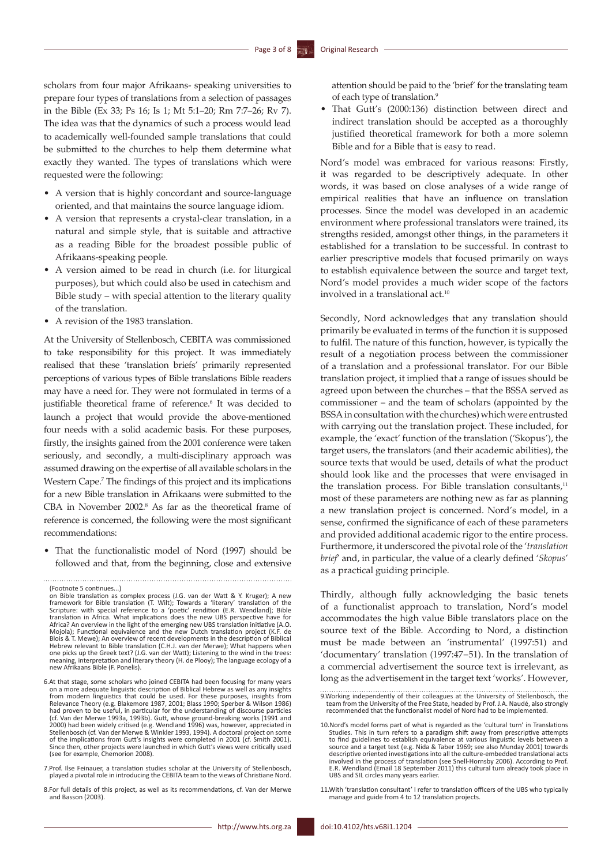scholars from four major Afrikaans- speaking universities to prepare four types of translations from a selection of passages in the Bible (Ex 33; Ps 16; Is 1; Mt 5:1–20; Rm 7:7–26; Rv 7). The idea was that the dynamics of such a process would lead to academically well-founded sample translations that could be submitted to the churches to help them determine what exactly they wanted. The types of translations which were requested were the following:

- A version that is highly concordant and source-language oriented, and that maintains the source language idiom.
- A version that represents a crystal-clear translation, in a natural and simple style, that is suitable and attractive as a reading Bible for the broadest possible public of Afrikaans-speaking people.
- A version aimed to be read in church (i.e. for liturgical purposes), but which could also be used in catechism and Bible study – with special attention to the literary quality of the translation.
- A revision of the 1983 translation.

At the University of Stellenbosch, CEBITA was commissioned to take responsibility for this project. It was immediately realised that these 'translation briefs' primarily represented perceptions of various types of Bible translations Bible readers may have a need for. They were not formulated in terms of a justifiable theoretical frame of reference.<sup>6</sup> It was decided to launch a project that would provide the above-mentioned four needs with a solid academic basis. For these purposes, firstly, the insights gained from the 2001 conference were taken seriously, and secondly, a multi-disciplinary approach was assumed drawing on the expertise of all available scholars in the Western Cape.7 The findings of this project and its implications for a new Bible translation in Afrikaans were submitted to the CBA in November  $2002$ .<sup>8</sup> As far as the theoretical frame of reference is concerned, the following were the most significant recommendations:

• That the functionalistic model of Nord (1997) should be followed and that, from the beginning, close and extensive

 attention should be paid to the 'brief' for the translating team of each type of translation.<sup>9</sup>

• That Gutt's (2000:136) distinction between direct and indirect translation should be accepted as a thoroughly justified theoretical framework for both a more solemn Bible and for a Bible that is easy to read.

Nord's model was embraced for various reasons: Firstly, it was regarded to be descriptively adequate. In other words, it was based on close analyses of a wide range of empirical realities that have an influence on translation processes. Since the model was developed in an academic environment where professional translators were trained, its strengths resided, amongst other things, in the parameters it established for a translation to be successful. In contrast to earlier prescriptive models that focused primarily on ways to establish equivalence between the source and target text, Nord's model provides a much wider scope of the factors involved in a translational act.10

Secondly, Nord acknowledges that any translation should primarily be evaluated in terms of the function it is supposed to fulfil. The nature of this function, however, is typically the result of a negotiation process between the commissioner of a translation and a professional translator. For our Bible translation project, it implied that a range of issues should be agreed upon between the churches – that the BSSA served as commissioner – and the team of scholars (appointed by the BSSA in consultation with the churches) which were entrusted with carrying out the translation project. These included, for example, the 'exact' function of the translation ('Skopus'), the target users, the translators (and their academic abilities), the source texts that would be used, details of what the product should look like and the processes that were envisaged in the translation process. For Bible translation consultants, $11$ most of these parameters are nothing new as far as planning a new translation project is concerned. Nord's model, in a sense, confirmed the significance of each of these parameters and provided additional academic rigor to the entire process. Furthermore, it underscored the pivotal role of the '*translation brief*' and, in particular, the value of a clearly defined '*Skopus*' as a practical guiding principle.

Thirdly, although fully acknowledging the basic tenets of a functionalist approach to translation, Nord's model accommodates the high value Bible translators place on the source text of the Bible. According to Nord, a distinction must be made between an 'instrumental' (1997:51) and 'documentary' translation (1997:47−51). In the translation of a commercial advertisement the source text is irrelevant, as long as the advertisement in the target text 'works'. However,

11.With 'translation consultant' I refer to translation officers of the UBS who typically manage and guide from 4 to 12 translation projects.

<sup>(</sup>Footnote 5 continues...) on Bible translation as complex process (J.G. van der Watt & Y. Kruger); A new framework for Bible translation (T. Wilt); Towards a 'literary' translation of the<br>Scripture: with special reference to a 'poetic' rendition (E.R. Wendland); Bible<br>translation in Africa. What implications does the new UBS Africa? An overview in the light of the emerging new UBS translation initiative (A.O. Mojola); Functional equivalence and the new Dutch translation project (K.F. de Blois & T. Mewe); An overview of recent developments in the description of Biblical Hebrew relevant to Bible translation (C.H.J. van der Merwe); What happens when one picks up the Greek text? (J.G. van der Watt); Listening to the wind in the trees: meaning, interpretation and literary theory (H. de Plooy); The language ecology of a new Afrikaans Bible (F. Ponelis).

<sup>6.</sup>At that stage, some scholars who joined CEBITA had been focusing for many years<br>on a more adequate linguistic description of Biblical Hebrew as well as any insights<br>from modern linguistics that could be used. For these p 2000) had been widely critised (e.g. Wendland 1996) was, however, appreciated in Stellenbosch (cf. Van der Merwe & Winkler 1993, 1994). A doctoral project on some of the implications from Gutt's insights were completed in 2001 (cf. Smith 2001). Since then, other projects were launched in which Gutt's views were critically used (see for example, Chemorion 2008).

<sup>7.</sup>Prof. Ilse Feinauer, a translation studies scholar at the University of Stellenbosch, played a pivotal role in introducing the CEBITA team to the views of Christiane Nord.

<sup>8.</sup>For full details of this project, as well as its recommendations, cf. Van der Merwe and Basson (2003).

<sup>9.</sup>Working independently of their colleagues at the University of Stellenbosch, the team from the University of the Free State, headed by Prof. J.A. Naudé, also strongly recommended that the functionalist model of Nord had to be implemented.

I. Nord's model forms part of what is regarded as the 'cultural turn' in Translations<br>Studies. This in turn refers to a paradigm shift away from prescriptive attempts<br>to find guidelines to establish equivalence at various descriptive oriented investigations into all the culture-embedded translational acts involved in the process of translation (see Snell-Hornsby 2006). According to Prof. E.R. Wendland (Email 18 September 2011) this cultural turn already took place in UBS and SIL circles many years earlier.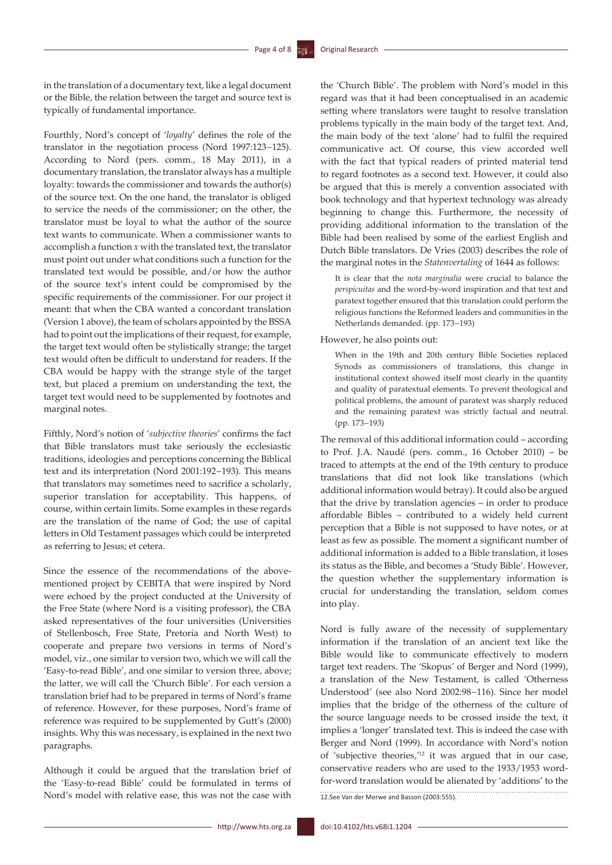in the translation of a documentary text, like a legal document or the Bible, the relation between the target and source text is typically of fundamental importance.

Fourthly, Nord's concept of '*loyalty*' defines the role of the translator in the negotiation process (Nord 1997:123−125). According to Nord (pers. comm., 18 May 2011), in a documentary translation, the translator always has a multiple loyalty: towards the commissioner and towards the author(s) of the source text. On the one hand, the translator is obliged to service the needs of the commissioner; on the other, the translator must be loyal to what the author of the source text wants to communicate. When a commissioner wants to accomplish a function *x* with the translated text, the translator must point out under what conditions such a function for the translated text would be possible, and/or how the author of the source text's intent could be compromised by the specific requirements of the commissioner. For our project it meant: that when the CBA wanted a concordant translation (Version 1 above), the team of scholars appointed by the BSSA had to point out the implications of their request, for example, the target text would often be stylistically strange; the target text would often be difficult to understand for readers. If the CBA would be happy with the strange style of the target text, but placed a premium on understanding the text, the target text would need to be supplemented by footnotes and marginal notes.

Fifthly, Nord's notion of '*subjective theories*' confirms the fact that Bible translators must take seriously the ecclesiastic traditions, ideologies and perceptions concerning the Biblical text and its interpretation (Nord 2001:192−193). This means that translators may sometimes need to sacrifice a scholarly, superior translation for acceptability. This happens, of course, within certain limits. Some examples in these regards are the translation of the name of God; the use of capital letters in Old Testament passages which could be interpreted as referring to Jesus; et cetera.

Since the essence of the recommendations of the abovementioned project by CEBITA that were inspired by Nord were echoed by the project conducted at the University of the Free State (where Nord is a visiting professor), the CBA asked representatives of the four universities (Universities of Stellenbosch, Free State, Pretoria and North West) to cooperate and prepare two versions in terms of Nord's model, viz., one similar to version two, which we will call the 'Easy-to-read Bible', and one similar to version three, above; the latter, we will call the 'Church Bible'. For each version a translation brief had to be prepared in terms of Nord's frame of reference. However, for these purposes, Nord's frame of reference was required to be supplemented by Gutt's (2000) insights. Why this was necessary, is explained in the next two paragraphs.

Although it could be argued that the translation brief of the 'Easy-to-read Bible' could be formulated in terms of Nord's model with relative ease, this was not the case with

the 'Church Bible'. The problem with Nord's model in this regard was that it had been conceptualised in an academic setting where translators were taught to resolve translation problems typically in the main body of the target text. And, the main body of the text 'alone' had to fulfil the required communicative act. Of course, this view accorded well with the fact that typical readers of printed material tend to regard footnotes as a second text. However, it could also be argued that this is merely a convention associated with book technology and that hypertext technology was already beginning to change this. Furthermore, the necessity of providing additional information to the translation of the Bible had been realised by some of the earliest English and Dutch Bible translators. De Vries (2003) describes the role of the marginal notes in the *Statenvertaling* of 1644 as follows:

It is clear that the *nota marginalia* were crucial to balance the *perspicuitas* and the word-by-word inspiration and that text and paratext together ensured that this translation could perform the religious functions the Reformed leaders and communities in the Netherlands demanded. (pp. 173−193)

However, he also points out:

When in the 19th and 20th century Bible Societies replaced Synods as commissioners of translations, this change in institutional context showed itself most clearly in the quantity and quality of paratextual elements. To prevent theological and political problems, the amount of paratext was sharply reduced and the remaining paratext was strictly factual and neutral. (pp. 173−193)

The removal of this additional information could – according to Prof. J.A. Naudé (pers. comm., 16 October 2010) – be traced to attempts at the end of the 19th century to produce translations that did not look like translations (which additional information would betray). It could also be argued that the drive by translation agencies – in order to produce affordable Bibles – contributed to a widely held current perception that a Bible is not supposed to have notes, or at least as few as possible. The moment a significant number of additional information is added to a Bible translation, it loses its status as the Bible, and becomes a 'Study Bible'. However, the question whether the supplementary information is crucial for understanding the translation, seldom comes into play.

Nord is fully aware of the necessity of supplementary information if the translation of an ancient text like the Bible would like to communicate effectively to modern target text readers. The 'Skopus' of Berger and Nord (1999), a translation of the New Testament, is called 'Otherness Understood' (see also Nord 2002:98−116). Since her model implies that the bridge of the otherness of the culture of the source language needs to be crossed inside the text, it implies a 'longer' translated text. This is indeed the case with Berger and Nord (1999). In accordance with Nord's notion of 'subjective theories,'12 it was argued that in our case, conservative readers who are used to the 1933/1953 wordfor-word translation would be alienated by 'additions' to the 12.See Van der Merwe and Basson (2003:555).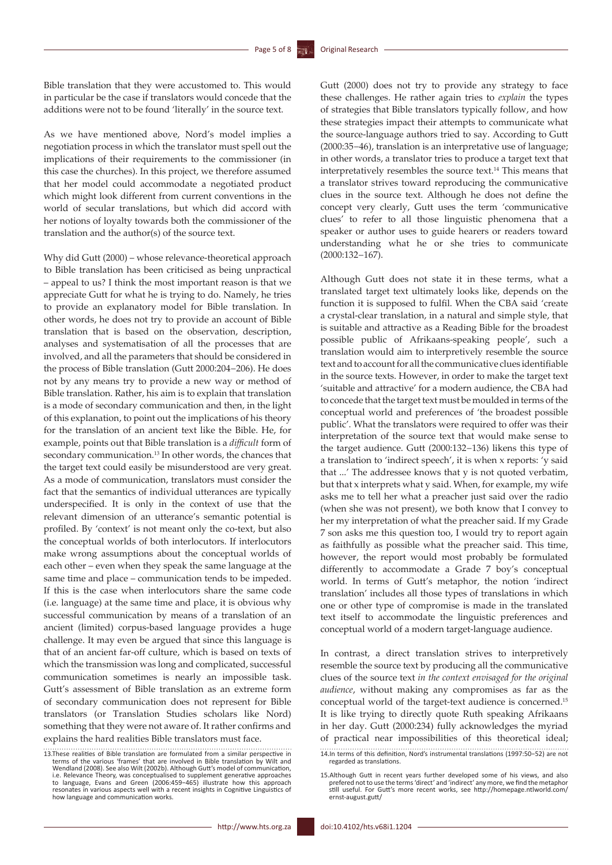Bible translation that they were accustomed to. This would in particular be the case if translators would concede that the additions were not to be found 'literally' in the source text.

As we have mentioned above, Nord's model implies a negotiation process in which the translator must spell out the implications of their requirements to the commissioner (in this case the churches). In this project, we therefore assumed that her model could accommodate a negotiated product which might look different from current conventions in the world of secular translations, but which did accord with her notions of loyalty towards both the commissioner of the translation and the author(s) of the source text.

Why did Gutt (2000) – whose relevance-theoretical approach to Bible translation has been criticised as being unpractical – appeal to us? I think the most important reason is that we appreciate Gutt for what he is trying to do. Namely, he tries to provide an explanatory model for Bible translation. In other words, he does not try to provide an account of Bible translation that is based on the observation, description, analyses and systematisation of all the processes that are involved, and all the parameters that should be considered in the process of Bible translation (Gutt 2000:204−206). He does not by any means try to provide a new way or method of Bible translation. Rather, his aim is to explain that translation is a mode of secondary communication and then, in the light of this explanation, to point out the implications of his theory for the translation of an ancient text like the Bible. He, for example, points out that Bible translation is a *difficult* form of secondary communication.<sup>13</sup> In other words, the chances that the target text could easily be misunderstood are very great. As a mode of communication, translators must consider the fact that the semantics of individual utterances are typically underspecified. It is only in the context of use that the relevant dimension of an utterance's semantic potential is profiled. By 'context' is not meant only the co-text, but also the conceptual worlds of both interlocutors. If interlocutors make wrong assumptions about the conceptual worlds of each other – even when they speak the same language at the same time and place – communication tends to be impeded. If this is the case when interlocutors share the same code (i.e. language) at the same time and place, it is obvious why successful communication by means of a translation of an ancient (limited) corpus-based language provides a huge challenge. It may even be argued that since this language is that of an ancient far-off culture, which is based on texts of which the transmission was long and complicated, successful communication sometimes is nearly an impossible task. Gutt's assessment of Bible translation as an extreme form of secondary communication does not represent for Bible translators (or Translation Studies scholars like Nord) something that they were not aware of. It rather confirms and explains the hard realities Bible translators must face.

Gutt (2000) does not try to provide any strategy to face these challenges. He rather again tries to *explain* the types of strategies that Bible translators typically follow, and how these strategies impact their attempts to communicate what the source-language authors tried to say. According to Gutt (2000:35−46), translation is an interpretative use of language; in other words, a translator tries to produce a target text that interpretatively resembles the source text.14 This means that a translator strives toward reproducing the communicative clues in the source text. Although he does not define the concept very clearly, Gutt uses the term 'communicative clues' to refer to all those linguistic phenomena that a speaker or author uses to guide hearers or readers toward understanding what he or she tries to communicate (2000:132−167).

Although Gutt does not state it in these terms, what a translated target text ultimately looks like, depends on the function it is supposed to fulfil. When the CBA said 'create a crystal-clear translation, in a natural and simple style, that is suitable and attractive as a Reading Bible for the broadest possible public of Afrikaans-speaking people', such a translation would aim to interpretively resemble the source text and to account for all the communicative clues identifiable in the source texts. However, in order to make the target text 'suitable and attractive' for a modern audience, the CBA had to concede that the target text must be moulded in terms of the conceptual world and preferences of 'the broadest possible public'. What the translators were required to offer was their interpretation of the source text that would make sense to the target audience. Gutt (2000:132−136) likens this type of a translation to 'indirect speech', it is when x reports: 'y said that ...' The addressee knows that y is not quoted verbatim, but that x interprets what y said. When, for example, my wife asks me to tell her what a preacher just said over the radio (when she was not present), we both know that I convey to her my interpretation of what the preacher said. If my Grade 7 son asks me this question too, I would try to report again as faithfully as possible what the preacher said. This time, however, the report would most probably be formulated differently to accommodate a Grade 7 boy's conceptual world. In terms of Gutt's metaphor, the notion 'indirect translation' includes all those types of translations in which one or other type of compromise is made in the translated text itself to accommodate the linguistic preferences and conceptual world of a modern target-language audience.

In contrast, a direct translation strives to interpretively resemble the source text by producing all the communicative clues of the source text *in the context envisaged for the original audience*, without making any compromises as far as the conceptual world of the target-text audience is concerned.15 It is like trying to directly quote Ruth speaking Afrikaans in her day. Gutt (2000:234) fully acknowledges the myriad of practical near impossibilities of this theoretical ideal;

.In terms of this definition, Nord's instrumental translations (1997:50−52) are not In terms or this demitted<br>regarded as translations.

<sup>13.</sup>These realities of Bible translation are formulated from a similar perspective in terms of the various 'frames' that are involved in Bible translation by Wilt and Wendland (2008). See also Wilt (2002b). Although Gutt's model of communication,<br>i.e. Relevance Theory, was conceptualised to supplement generative approaches<br>to language, Evans and Green (2006:459–465) illustrate ho resonates in various aspects well with a recent insights in Cognitive Linguistics of how language and communication works.

<sup>15.</sup>Although Gutt in recent years further developed some of his views, and also prefered not to use the terms 'direct' and 'indirect' any more, we find the metaphor still useful. For Gutt's more recent works, see [http://homepage.ntlworld.com/](http://homepage.ntlworld.com/ernst-august.gutt/) [ernst-august.gutt/](http://homepage.ntlworld.com/ernst-august.gutt/)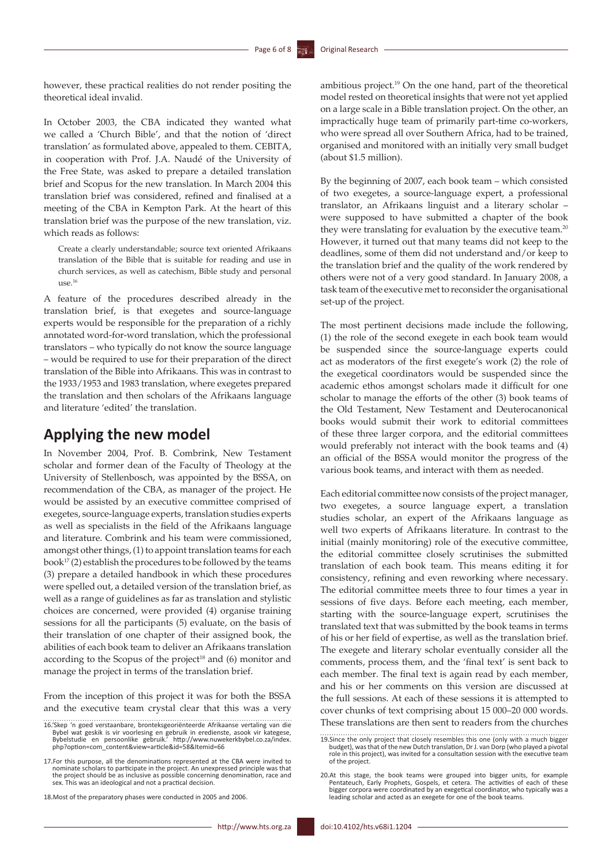however, these practical realities do not render positing the theoretical ideal invalid.

In October 2003, the CBA indicated they wanted what we called a 'Church Bible', and that the notion of 'direct translation' as formulated above, appealed to them. CEBITA, in cooperation with Prof. J.A. Naudé of the University of the Free State, was asked to prepare a detailed translation brief and Scopus for the new translation. In March 2004 this translation brief was considered, refined and finalised at a meeting of the CBA in Kempton Park. At the heart of this translation brief was the purpose of the new translation, viz. which reads as follows:

Create a clearly understandable; source text oriented Afrikaans translation of the Bible that is suitable for reading and use in church services, as well as catechism, Bible study and personal 11 $\text{se}^{16}$ 

A feature of the procedures described already in the translation brief, is that exegetes and source-language experts would be responsible for the preparation of a richly annotated word-for-word translation, which the professional translators – who typically do not know the source language – would be required to use for their preparation of the direct translation of the Bible into Afrikaans. This was in contrast to the 1933/1953 and 1983 translation, where exegetes prepared the translation and then scholars of the Afrikaans language and literature 'edited' the translation.

### **Applying the new model**

In November 2004, Prof. B. Combrink, New Testament scholar and former dean of the Faculty of Theology at the University of Stellenbosch, was appointed by the BSSA, on recommendation of the CBA, as manager of the project. He would be assisted by an executive committee comprised of exegetes, source-language experts, translation studies experts as well as specialists in the field of the Afrikaans language and literature. Combrink and his team were commissioned, amongst other things, (1) to appoint translation teams for each  $book^{17}(2)$  establish the procedures to be followed by the teams (3) prepare a detailed handbook in which these procedures were spelled out, a detailed version of the translation brief, as well as a range of guidelines as far as translation and stylistic choices are concerned, were provided (4) organise training sessions for all the participants (5) evaluate, on the basis of their translation of one chapter of their assigned book, the abilities of each book team to deliver an Afrikaans translation according to the Scopus of the project<sup>18</sup> and  $(6)$  monitor and manage the project in terms of the translation brief.

From the inception of this project it was for both the BSSA and the executive team crystal clear that this was a very

18. Most of the preparatory phases were conducted in 2005 and 2006.

ambitious project.19 On the one hand, part of the theoretical model rested on theoretical insights that were not yet applied on a large scale in a Bible translation project. On the other, an impractically huge team of primarily part-time co-workers, who were spread all over Southern Africa, had to be trained, organised and monitored with an initially very small budget (about \$1.5 million).

By the beginning of 2007, each book team – which consisted of two exegetes, a source-language expert, a professional translator, an Afrikaans linguist and a literary scholar – were supposed to have submitted a chapter of the book they were translating for evaluation by the executive team.<sup>20</sup> However, it turned out that many teams did not keep to the deadlines, some of them did not understand and/or keep to the translation brief and the quality of the work rendered by others were not of a very good standard. In January 2008, a task team of the executive met to reconsider the organisational set-up of the project.

The most pertinent decisions made include the following, (1) the role of the second exegete in each book team would be suspended since the source-language experts could act as moderators of the first exegete's work (2) the role of the exegetical coordinators would be suspended since the academic ethos amongst scholars made it difficult for one scholar to manage the efforts of the other (3) book teams of the Old Testament, New Testament and Deuterocanonical books would submit their work to editorial committees of these three larger corpora, and the editorial committees would preferably not interact with the book teams and (4) an official of the BSSA would monitor the progress of the various book teams, and interact with them as needed.

Each editorial committee now consists of the project manager, two exegetes, a source language expert, a translation studies scholar, an expert of the Afrikaans language as well two experts of Afrikaans literature. In contrast to the initial (mainly monitoring) role of the executive committee, the editorial committee closely scrutinises the submitted translation of each book team. This means editing it for consistency, refining and even reworking where necessary. The editorial committee meets three to four times a year in sessions of five days. Before each meeting, each member, starting with the source-language expert, scrutinises the translated text that was submitted by the book teams in terms of his or her field of expertise, as well as the translation brief. The exegete and literary scholar eventually consider all the comments, process them, and the 'final text' is sent back to each member. The final text is again read by each member, and his or her comments on this version are discussed at the full sessions. At each of these sessions it is attempted to cover chunks of text comprising about 15 000–20 000 words. These translations are then sent to readers from the churches

<sup>&#</sup>x27;Skep 'n goed verstaanbare, bronteksgeoriënteerde Afrikaanse vertaling van die Bybel wat geskik is vir voorlesing en gebruik in eredienstyke Bybelstudie en persoonlike gebruik' http://www.nuwererkov.<br>Bybelstudie en persoon

<sup>17.</sup>For this purpose, all the denominations represented at the CBA were invited to nominate scholars to participate in the project. An unexpressed principle was that the project should be as inclusive as possible concerning denomination, race and sex. This was an ideological and not a practical decision.

<sup>.</sup>Since the only project that closely resembles this one (only with a much bigger budget), was that of the new Dutch translation, Dr J. van Dorp (who played a pivotal role in this project), was invited for a consultation session with the executive team of the project.

At this stage, the book teams were grouped into bigger units, for example<br>Pentateuch, Early Prophets, Gospels, et cetera. The activities of each of these<br>bigger corpora were coordinated by an exegetical coordinator, who ty leading scholar and acted as an exegete for one of the book teams.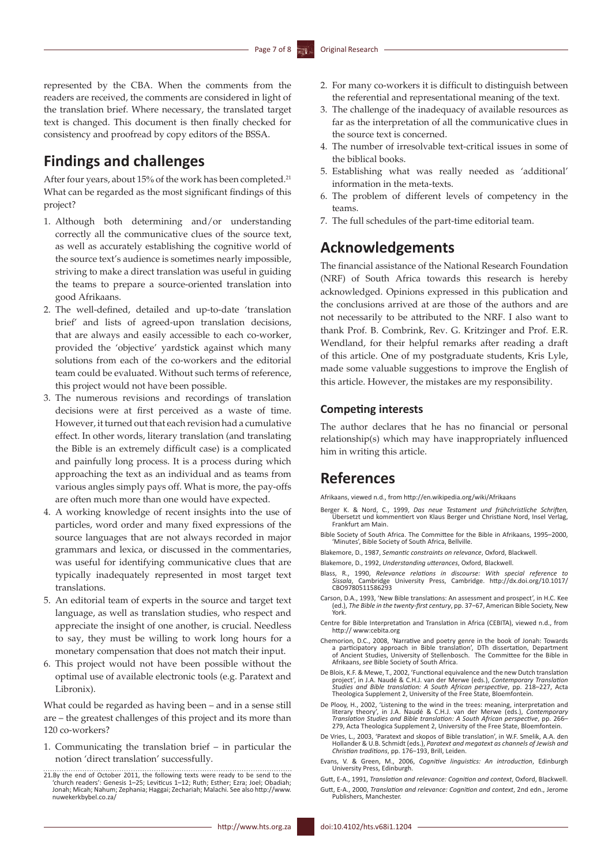represented by the CBA. When the comments from the readers are received, the comments are considered in light of the translation brief. Where necessary, the translated target text is changed. This document is then finally checked for consistency and proofread by copy editors of the BSSA.

# **Findings and challenges**

After four years, about 15% of the work has been completed.<sup>21</sup> What can be regarded as the most significant findings of this project?

- 1. Although both determining and/or understanding correctly all the communicative clues of the source text, as well as accurately establishing the cognitive world of the source text's audience is sometimes nearly impossible, striving to make a direct translation was useful in guiding the teams to prepare a source-oriented translation into good Afrikaans.
- 2. The well-defined, detailed and up-to-date 'translation brief' and lists of agreed-upon translation decisions, that are always and easily accessible to each co-worker, provided the 'objective' yardstick against which many solutions from each of the co-workers and the editorial team could be evaluated. Without such terms of reference, this project would not have been possible.
- 3. The numerous revisions and recordings of translation decisions were at first perceived as a waste of time. However, it turned out that each revision had a cumulative effect. In other words, literary translation (and translating the Bible is an extremely difficult case) is a complicated and painfully long process. It is a process during which approaching the text as an individual and as teams from various angles simply pays off. What is more, the pay-offs are often much more than one would have expected.
- 4. A working knowledge of recent insights into the use of particles, word order and many fixed expressions of the source languages that are not always recorded in major grammars and lexica, or discussed in the commentaries, was useful for identifying communicative clues that are typically inadequately represented in most target text translations.
- 5. An editorial team of experts in the source and target text language, as well as translation studies, who respect and appreciate the insight of one another, is crucial. Needless to say, they must be willing to work long hours for a monetary compensation that does not match their input.
- 6. This project would not have been possible without the optimal use of available electronic tools (e.g. Paratext and Libronix).

What could be regarded as having been – and in a sense still are – the greatest challenges of this project and its more than 120 co-workers?

1. Communicating the translation brief – in particular the notion 'direct translation' successfully.

- 2. For many co-workers it is difficult to distinguish between the referential and representational meaning of the text.
- 3. The challenge of the inadequacy of available resources as far as the interpretation of all the communicative clues in the source text is concerned.
- 4. The number of irresolvable text-critical issues in some of the biblical books.
- 5. Establishing what was really needed as 'additional' information in the meta-texts.
- 6. The problem of different levels of competency in the teams.
- 7. The full schedules of the part-time editorial team.

### **Acknowledgements**

The financial assistance of the National Research Foundation (NRF) of South Africa towards this research is hereby acknowledged. Opinions expressed in this publication and the conclusions arrived at are those of the authors and are not necessarily to be attributed to the NRF. I also want to thank Prof. B. Combrink, Rev. G. Kritzinger and Prof. E.R. Wendland, for their helpful remarks after reading a draft of this article. One of my postgraduate students, Kris Lyle, made some valuable suggestions to improve the English of this article. However, the mistakes are my responsibility.

### **Competing interests**

The author declares that he has no financial or personal relationship(s) which may have inappropriately influenced him in writing this article.

## **References**

Afrikaans, viewed n.d., from<http://en.wikipedia.org/wiki/Afrikaans>

- Berger K. & Nord, C., 1999, *Das neue Testament und frühchristliche Schriften,*  Übersetzt und kommentiert von Klaus Berger und Christiane Nord, Insel Verlag, Frankfurt am Main.
- Bible Society of South Africa. The Committee for the Bible in Afrikaans, 1995–2000, 'Minutes', Bible Society of South Africa, Bellville.
- Blakemore, D., 1987, *Semantic constraints on relevance*, Oxford, Blackwell.
- Blakemore, D., 1992, *Understanding utterances*, Oxford, Blackwell.
- Blass, R., 1990, *Relevance relations in discourse: With special reference* Sissala. Cambridge University Press. Cambridge. http://dx.doi.org/10.10 *Sissala*, Cambridge University Press, Cambridge. [http://dx.doi.org/10.1017/](http://dx.doi.org/10.1017/CBO9780511586293) [CBO9780511586293](http://dx.doi.org/10.1017/CBO9780511586293)
- Carson, D.A., 1993, 'New Bible translations: An assessment and prospect', in H.C. Kee (ed.), *The Bible in the twenty-first century*, pp. 37−67, American Bible Society, New York.
- Centre for Bible Interpretation and Translation in Africa (CEBITA), viewed n.d., from <http:// www:cebita.org>
- Chemorion, D.C., 2008, 'Narrative and poetry genre in the book of Jonah: Towards<br>a participatory approach in Bible translation', DTh dissertation, Department<br>of Ancient Studies, University of Stellenbosch. The Committee fo Afrikaans, *see* Bible Society of South Africa.
- De Blois, K.F. & Mewe, T., 2002, 'Functional equivalence and the new Dutch translation project', in J.A. Naudé & C.H.J. van der Merwe (eds.), *Contemporary Translation*<br>*Studies and Bible translation: A South African perspective,* pp. 218–227, Acta<br>Theologica Supplement 2, University of the Free State, Bloem
- De Plooy, H., 2002, 'Listening to the wind in the trees: meaning, interpretation and<br>literary theory', in J.A. Naudé & C.H.J. van der Merwe (eds.), Contemporary<br>Translation Studies and Bible translation: A South African pe 279, Acta Theologica Supplement 2, University of the Free State, Bloemfontein.
- De Vries, L., 2003, 'Paratext and skopos of Bible translation', in W.F. Smelik, A.A. den Hollander & U.B. Schmidt (eds.), *Paratext and megatext as channels of Jewish and Christian traditions*, pp. 176−193, Brill, Leiden.
- Evans, V. & Green, M., 2006, *Cognitive linguistics: An introduction*, Edinburgh University Press, Edinburgh.

Gutt, E-A., 1991, *Translation and relevance: Cognition and context*, Oxford, Blackwell. Gutt, E-A., 2000, *Translation and relevance: Cognition and context*, 2nd edn., Jerome Publishers, Manchester.

<sup>.</sup>By the end of October 2011, the following texts were ready to be send to the 'church readers': Genesis 1–25; Leviticus 1–12; Ruth; Esther; Ezra; Joel; Obadiah; Jonah; Micah; Nahum; Zephania; Haggai; Zechariah; Malachi. See also [http://www.](http://www.nuwekerkbybel.co.za/) [nuwekerkbybel.co.za/](http://www.nuwekerkbybel.co.za/)